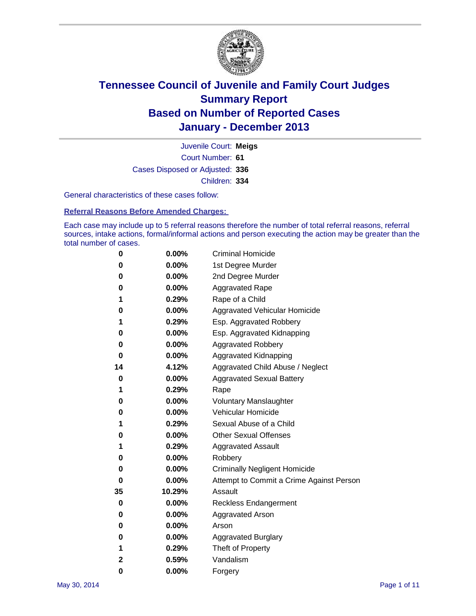

Court Number: **61** Juvenile Court: **Meigs** Cases Disposed or Adjusted: **336** Children: **334**

General characteristics of these cases follow:

**Referral Reasons Before Amended Charges:** 

Each case may include up to 5 referral reasons therefore the number of total referral reasons, referral sources, intake actions, formal/informal actions and person executing the action may be greater than the total number of cases.

| 0            | $0.00\%$ | <b>Criminal Homicide</b>                 |  |  |  |  |
|--------------|----------|------------------------------------------|--|--|--|--|
| 0            | 0.00%    | 1st Degree Murder                        |  |  |  |  |
| 0            | 0.00%    | 2nd Degree Murder                        |  |  |  |  |
| 0            | $0.00\%$ | <b>Aggravated Rape</b>                   |  |  |  |  |
| 1            | 0.29%    | Rape of a Child                          |  |  |  |  |
| 0            | $0.00\%$ | <b>Aggravated Vehicular Homicide</b>     |  |  |  |  |
| 1            | 0.29%    | Esp. Aggravated Robbery                  |  |  |  |  |
| 0            | 0.00%    | Esp. Aggravated Kidnapping               |  |  |  |  |
| 0            | $0.00\%$ | <b>Aggravated Robbery</b>                |  |  |  |  |
| 0            | 0.00%    | Aggravated Kidnapping                    |  |  |  |  |
| 14           | 4.12%    | Aggravated Child Abuse / Neglect         |  |  |  |  |
| 0            | 0.00%    | <b>Aggravated Sexual Battery</b>         |  |  |  |  |
| 1            | 0.29%    | Rape                                     |  |  |  |  |
| 0            | 0.00%    | <b>Voluntary Manslaughter</b>            |  |  |  |  |
| 0            | 0.00%    | Vehicular Homicide                       |  |  |  |  |
| 1            | 0.29%    | Sexual Abuse of a Child                  |  |  |  |  |
| 0            | $0.00\%$ | <b>Other Sexual Offenses</b>             |  |  |  |  |
| 1            | 0.29%    | <b>Aggravated Assault</b>                |  |  |  |  |
| 0            | 0.00%    | Robbery                                  |  |  |  |  |
| 0            | $0.00\%$ | <b>Criminally Negligent Homicide</b>     |  |  |  |  |
| 0            | 0.00%    | Attempt to Commit a Crime Against Person |  |  |  |  |
| 35           | 10.29%   | Assault                                  |  |  |  |  |
| 0            | 0.00%    | <b>Reckless Endangerment</b>             |  |  |  |  |
| 0            | 0.00%    | <b>Aggravated Arson</b>                  |  |  |  |  |
| 0            | $0.00\%$ | Arson                                    |  |  |  |  |
| 0            | 0.00%    | <b>Aggravated Burglary</b>               |  |  |  |  |
| 1            | 0.29%    | Theft of Property                        |  |  |  |  |
| $\mathbf{2}$ | 0.59%    | Vandalism                                |  |  |  |  |
| 0            | 0.00%    | Forgery                                  |  |  |  |  |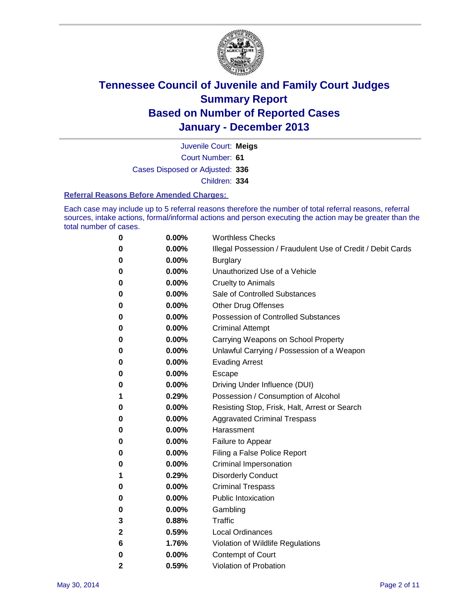

Court Number: **61** Juvenile Court: **Meigs** Cases Disposed or Adjusted: **336** Children: **334**

#### **Referral Reasons Before Amended Charges:**

Each case may include up to 5 referral reasons therefore the number of total referral reasons, referral sources, intake actions, formal/informal actions and person executing the action may be greater than the total number of cases.

| 0 | 0.00% | <b>Worthless Checks</b>                                     |
|---|-------|-------------------------------------------------------------|
| 0 | 0.00% | Illegal Possession / Fraudulent Use of Credit / Debit Cards |
| 0 | 0.00% | <b>Burglary</b>                                             |
| 0 | 0.00% | Unauthorized Use of a Vehicle                               |
| 0 | 0.00% | <b>Cruelty to Animals</b>                                   |
| 0 | 0.00% | Sale of Controlled Substances                               |
| 0 | 0.00% | <b>Other Drug Offenses</b>                                  |
| 0 | 0.00% | <b>Possession of Controlled Substances</b>                  |
| 0 | 0.00% | <b>Criminal Attempt</b>                                     |
| 0 | 0.00% | Carrying Weapons on School Property                         |
| 0 | 0.00% | Unlawful Carrying / Possession of a Weapon                  |
| 0 | 0.00% | <b>Evading Arrest</b>                                       |
| 0 | 0.00% | Escape                                                      |
| 0 | 0.00% | Driving Under Influence (DUI)                               |
| 1 | 0.29% | Possession / Consumption of Alcohol                         |
| 0 | 0.00% | Resisting Stop, Frisk, Halt, Arrest or Search               |
| 0 | 0.00% | <b>Aggravated Criminal Trespass</b>                         |
| 0 | 0.00% | Harassment                                                  |
| 0 | 0.00% | Failure to Appear                                           |
| 0 | 0.00% | Filing a False Police Report                                |
| 0 | 0.00% | Criminal Impersonation                                      |
| 1 | 0.29% | <b>Disorderly Conduct</b>                                   |
| 0 | 0.00% | <b>Criminal Trespass</b>                                    |
| 0 | 0.00% | <b>Public Intoxication</b>                                  |
| 0 | 0.00% | Gambling                                                    |
| 3 | 0.88% | Traffic                                                     |
| 2 | 0.59% | <b>Local Ordinances</b>                                     |
| 6 | 1.76% | Violation of Wildlife Regulations                           |
| 0 | 0.00% | Contempt of Court                                           |
| 2 | 0.59% | Violation of Probation                                      |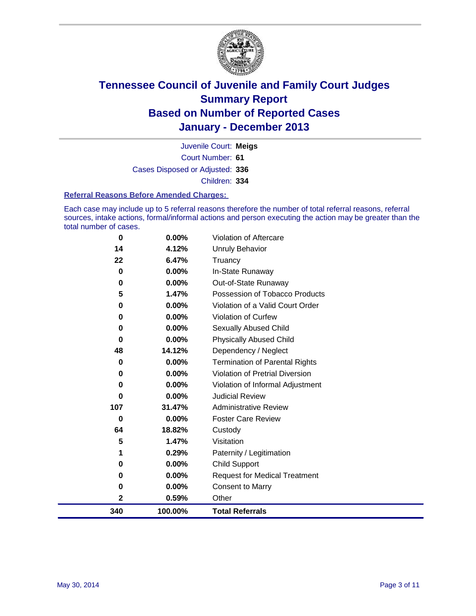

Court Number: **61** Juvenile Court: **Meigs** Cases Disposed or Adjusted: **336** Children: **334**

#### **Referral Reasons Before Amended Charges:**

Each case may include up to 5 referral reasons therefore the number of total referral reasons, referral sources, intake actions, formal/informal actions and person executing the action may be greater than the total number of cases.

| $\bf{0}$ | $0.00\%$ | Violation of Aftercare                |
|----------|----------|---------------------------------------|
| 14       | 4.12%    | <b>Unruly Behavior</b>                |
| 22       | 6.47%    | Truancy                               |
| $\bf{0}$ | 0.00%    | In-State Runaway                      |
| 0        | 0.00%    | Out-of-State Runaway                  |
| 5        | 1.47%    | Possession of Tobacco Products        |
| 0        | 0.00%    | Violation of a Valid Court Order      |
| $\bf{0}$ | 0.00%    | <b>Violation of Curfew</b>            |
| 0        | 0.00%    | Sexually Abused Child                 |
| 0        | 0.00%    | <b>Physically Abused Child</b>        |
| 48       | 14.12%   | Dependency / Neglect                  |
| $\bf{0}$ | 0.00%    | <b>Termination of Parental Rights</b> |
| 0        | 0.00%    | Violation of Pretrial Diversion       |
| 0        | 0.00%    | Violation of Informal Adjustment      |
| $\bf{0}$ | 0.00%    | <b>Judicial Review</b>                |
| 107      | 31.47%   | <b>Administrative Review</b>          |
| $\bf{0}$ | 0.00%    | <b>Foster Care Review</b>             |
| 64       | 18.82%   | Custody                               |
| 5        | 1.47%    | Visitation                            |
| 1        | 0.29%    | Paternity / Legitimation              |
| $\bf{0}$ | 0.00%    | <b>Child Support</b>                  |
| $\bf{0}$ | 0.00%    | <b>Request for Medical Treatment</b>  |
| 0        | 0.00%    | <b>Consent to Marry</b>               |
| 2        | 0.59%    | Other                                 |
| 340      | 100.00%  | <b>Total Referrals</b>                |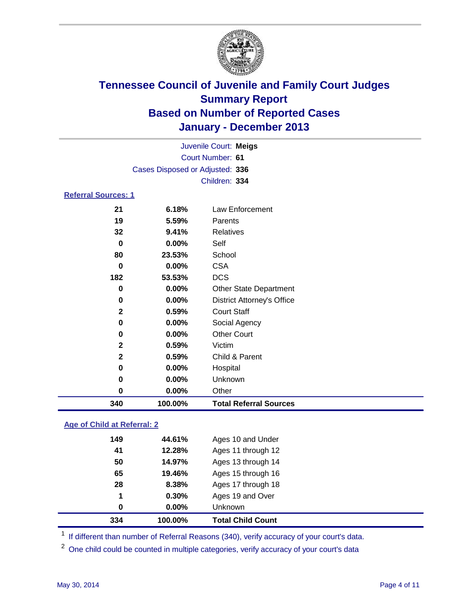

|                                 | Juvenile Court: Meigs |                                   |  |
|---------------------------------|-----------------------|-----------------------------------|--|
|                                 |                       | <b>Court Number: 61</b>           |  |
| Cases Disposed or Adjusted: 336 |                       |                                   |  |
|                                 |                       | Children: 334                     |  |
| <b>Referral Sources: 1</b>      |                       |                                   |  |
| 21                              | 6.18%                 | <b>Law Enforcement</b>            |  |
| 19                              | 5.59%                 | Parents                           |  |
| 32                              | 9.41%                 | <b>Relatives</b>                  |  |
| $\bf{0}$                        | 0.00%                 | Self                              |  |
| 80                              | 23.53%                | School                            |  |
| 0                               | 0.00%                 | <b>CSA</b>                        |  |
| 182                             | 53.53%                | <b>DCS</b>                        |  |
| 0                               | 0.00%                 | <b>Other State Department</b>     |  |
| $\bf{0}$                        | 0.00%                 | <b>District Attorney's Office</b> |  |
| $\mathbf{2}$                    | 0.59%                 | <b>Court Staff</b>                |  |
| 0                               | 0.00%                 | Social Agency                     |  |
| 0                               | 0.00%                 | <b>Other Court</b>                |  |
| $\mathbf 2$                     | 0.59%                 | Victim                            |  |
| $\mathbf 2$                     | 0.59%                 | Child & Parent                    |  |
| 0                               | 0.00%                 | Hospital                          |  |
| 0                               | 0.00%                 | Unknown                           |  |
| 0                               | 0.00%                 | Other                             |  |
| 340                             | 100.00%               | <b>Total Referral Sources</b>     |  |

### **Age of Child at Referral: 2**

| 0.30%<br>$0.00\%$ | Ages 19 and Over<br>Unknown |
|-------------------|-----------------------------|
|                   |                             |
|                   |                             |
| 8.38%             | Ages 17 through 18          |
| 19.46%            | Ages 15 through 16          |
| 14.97%            | Ages 13 through 14          |
| 12.28%            | Ages 11 through 12          |
| 44.61%            | Ages 10 and Under           |
|                   |                             |

<sup>1</sup> If different than number of Referral Reasons (340), verify accuracy of your court's data.

<sup>2</sup> One child could be counted in multiple categories, verify accuracy of your court's data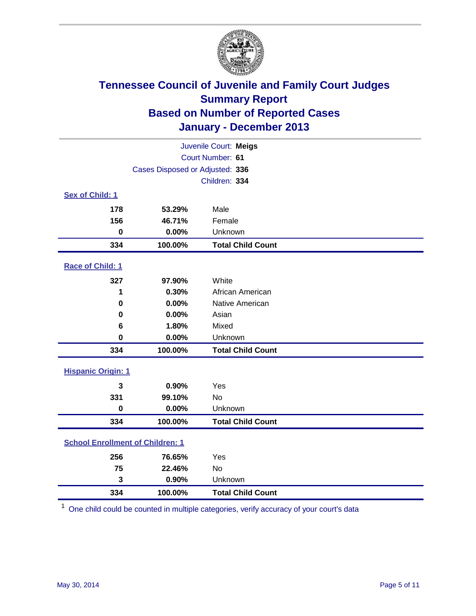

| Juvenile Court: Meigs                   |         |                          |  |
|-----------------------------------------|---------|--------------------------|--|
| Court Number: 61                        |         |                          |  |
| Cases Disposed or Adjusted: 336         |         |                          |  |
|                                         |         | Children: 334            |  |
| Sex of Child: 1                         |         |                          |  |
| 178                                     | 53.29%  | Male                     |  |
| 156                                     | 46.71%  | Female                   |  |
| $\mathbf 0$                             | 0.00%   | Unknown                  |  |
| 334                                     | 100.00% | <b>Total Child Count</b> |  |
| Race of Child: 1                        |         |                          |  |
| 327                                     | 97.90%  | White                    |  |
| 1                                       | 0.30%   | African American         |  |
| 0                                       | 0.00%   | Native American          |  |
| 0                                       | 0.00%   | Asian                    |  |
| 6                                       | 1.80%   | Mixed                    |  |
| $\bf{0}$                                | 0.00%   | Unknown                  |  |
| 334                                     | 100.00% | <b>Total Child Count</b> |  |
| <b>Hispanic Origin: 1</b>               |         |                          |  |
| 3                                       | 0.90%   | Yes                      |  |
| 331                                     | 99.10%  | No                       |  |
| $\bf{0}$                                | 0.00%   | Unknown                  |  |
| 334                                     | 100.00% | <b>Total Child Count</b> |  |
| <b>School Enrollment of Children: 1</b> |         |                          |  |
| 256                                     | 76.65%  | Yes                      |  |
| 75                                      | 22.46%  | <b>No</b>                |  |
| 3                                       | 0.90%   | Unknown                  |  |
| 334                                     | 100.00% | <b>Total Child Count</b> |  |

One child could be counted in multiple categories, verify accuracy of your court's data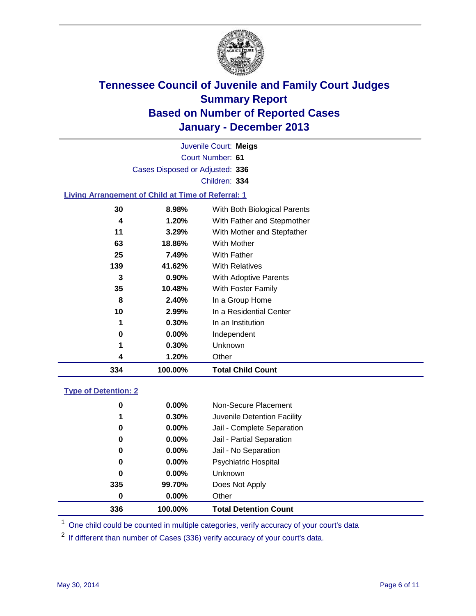

Court Number: **61** Juvenile Court: **Meigs** Cases Disposed or Adjusted: **336** Children: **334**

#### **Living Arrangement of Child at Time of Referral: 1**

| 334 | 100.00%  | <b>Total Child Count</b>     |
|-----|----------|------------------------------|
| 4   | 1.20%    | Other                        |
| 1   | 0.30%    | Unknown                      |
| 0   | $0.00\%$ | Independent                  |
| 1   | 0.30%    | In an Institution            |
| 10  | 2.99%    | In a Residential Center      |
| 8   | 2.40%    | In a Group Home              |
| 35  | 10.48%   | With Foster Family           |
| 3   | $0.90\%$ | <b>With Adoptive Parents</b> |
| 139 | 41.62%   | <b>With Relatives</b>        |
| 25  | 7.49%    | With Father                  |
| 63  | 18.86%   | With Mother                  |
| 11  | 3.29%    | With Mother and Stepfather   |
| 4   | 1.20%    | With Father and Stepmother   |
| 30  | 8.98%    | With Both Biological Parents |
|     |          |                              |

#### **Type of Detention: 2**

| 336 | 100.00%       | <b>Total Detention Count</b> |
|-----|---------------|------------------------------|
|     | $0.00\%$<br>0 | Other                        |
| 335 | 99.70%        | Does Not Apply               |
|     | 0<br>$0.00\%$ | <b>Unknown</b>               |
|     | $0.00\%$<br>0 | <b>Psychiatric Hospital</b>  |
|     | 0<br>0.00%    | Jail - No Separation         |
|     | 0<br>0.00%    | Jail - Partial Separation    |
|     | 0.00%<br>0    | Jail - Complete Separation   |
|     | 0.30%<br>1    | Juvenile Detention Facility  |
|     | 0<br>0.00%    | Non-Secure Placement         |
|     |               |                              |

<sup>1</sup> One child could be counted in multiple categories, verify accuracy of your court's data

If different than number of Cases (336) verify accuracy of your court's data.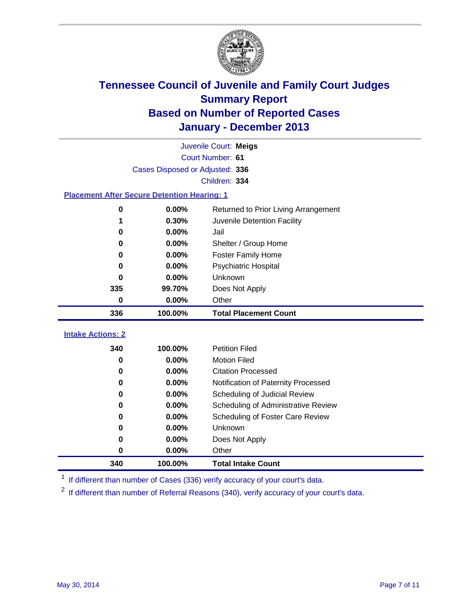

|                                                    | Juvenile Court: Meigs                         |                                     |  |  |  |
|----------------------------------------------------|-----------------------------------------------|-------------------------------------|--|--|--|
|                                                    | Court Number: 61                              |                                     |  |  |  |
| Cases Disposed or Adjusted: 336                    |                                               |                                     |  |  |  |
|                                                    | Children: 334                                 |                                     |  |  |  |
| <b>Placement After Secure Detention Hearing: 1</b> |                                               |                                     |  |  |  |
| 0                                                  | 0.00%<br>Returned to Prior Living Arrangement |                                     |  |  |  |
| 1                                                  | 0.30%                                         | Juvenile Detention Facility         |  |  |  |
| 0                                                  | 0.00%                                         | Jail                                |  |  |  |
| 0                                                  | 0.00%                                         | Shelter / Group Home                |  |  |  |
| 0                                                  | 0.00%                                         | <b>Foster Family Home</b>           |  |  |  |
| 0                                                  | 0.00%                                         | <b>Psychiatric Hospital</b>         |  |  |  |
| 0                                                  | 0.00%                                         | Unknown                             |  |  |  |
| 335                                                | 99.70%                                        | Does Not Apply                      |  |  |  |
| 0                                                  | 0.00%                                         | Other                               |  |  |  |
| 336                                                | 100.00%                                       | <b>Total Placement Count</b>        |  |  |  |
|                                                    |                                               |                                     |  |  |  |
| <b>Intake Actions: 2</b>                           |                                               |                                     |  |  |  |
| 340                                                | 100.00%                                       | <b>Petition Filed</b>               |  |  |  |
| 0                                                  | 0.00%                                         | <b>Motion Filed</b>                 |  |  |  |
| 0                                                  | 0.00%                                         | <b>Citation Processed</b>           |  |  |  |
| 0                                                  | 0.00%                                         | Notification of Paternity Processed |  |  |  |
| 0                                                  | 0.00%                                         | Scheduling of Judicial Review       |  |  |  |
| 0                                                  | 0.00%                                         | Scheduling of Administrative Review |  |  |  |
| 0                                                  | 0.00%                                         | Scheduling of Foster Care Review    |  |  |  |
| 0                                                  | 0.00%                                         | Unknown                             |  |  |  |
| 0                                                  | 0.00%                                         | Does Not Apply                      |  |  |  |
| 0                                                  | 0.00%                                         | Other                               |  |  |  |
| 340                                                | 100.00%                                       | <b>Total Intake Count</b>           |  |  |  |

<sup>1</sup> If different than number of Cases (336) verify accuracy of your court's data.

If different than number of Referral Reasons (340), verify accuracy of your court's data.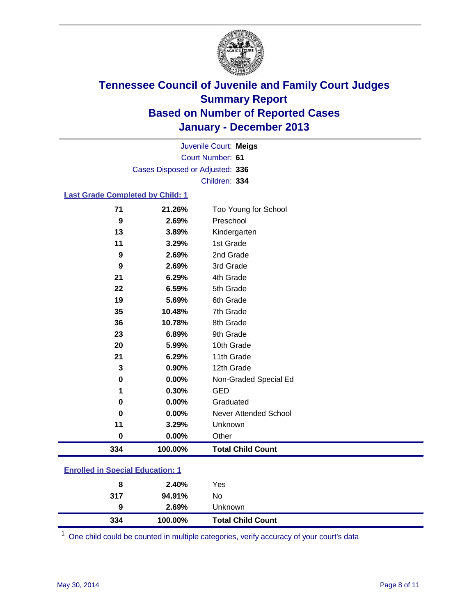

Court Number: **61** Juvenile Court: **Meigs** Cases Disposed or Adjusted: **336** Children: **334**

#### **Last Grade Completed by Child: 1**

| 334      | 100.00%  | <b>Total Child Count</b> |
|----------|----------|--------------------------|
| $\bf{0}$ | $0.00\%$ | Other                    |
| 11       | 3.29%    | Unknown                  |
| $\bf{0}$ | 0.00%    | Never Attended School    |
| 0        | 0.00%    | Graduated                |
| 1        | 0.30%    | <b>GED</b>               |
| 0        | 0.00%    | Non-Graded Special Ed    |
| 3        | 0.90%    | 12th Grade               |
| 21       | 6.29%    | 11th Grade               |
| 20       | 5.99%    | 10th Grade               |
| 23       | 6.89%    | 9th Grade                |
| 36       | 10.78%   | 8th Grade                |
| 35       | 10.48%   | 7th Grade                |
| 19       | 5.69%    | 6th Grade                |
| 22       | 6.59%    | 5th Grade                |
| 21       | 6.29%    | 4th Grade                |
| 9        | 2.69%    | 3rd Grade                |
| 9        | 2.69%    | 2nd Grade                |
| 11       | 3.29%    | 1st Grade                |
| 13       | 3.89%    | Kindergarten             |
| 9        | 2.69%    | Preschool                |
| 71       | 21.26%   | Too Young for School     |

| <b>Enrolled in Special Education: 1</b> |
|-----------------------------------------|
|                                         |

| 8   | 2.40%   | Yes                      |
|-----|---------|--------------------------|
| 317 | 94.91%  | No                       |
| 9   | 2.69%   | Unknown                  |
| 334 | 100.00% | <b>Total Child Count</b> |

One child could be counted in multiple categories, verify accuracy of your court's data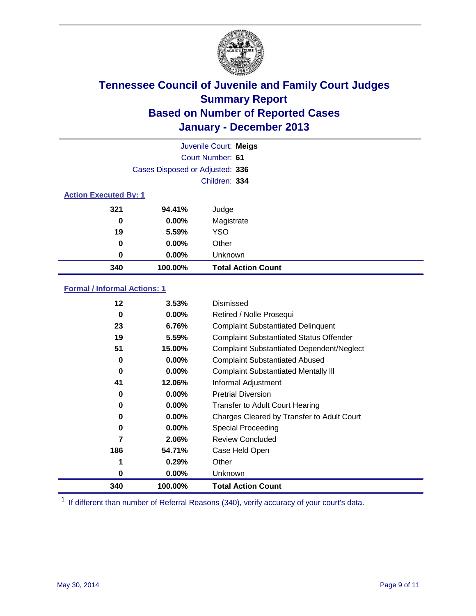

|                              |                                 | Juvenile Court: Meigs     |
|------------------------------|---------------------------------|---------------------------|
|                              |                                 | Court Number: 61          |
|                              | Cases Disposed or Adjusted: 336 |                           |
|                              |                                 | Children: 334             |
| <b>Action Executed By: 1</b> |                                 |                           |
| 321                          | 94.41%                          | Judge                     |
| 0                            | $0.00\%$                        | Magistrate                |
| 19                           | 5.59%                           | <b>YSO</b>                |
| 0                            | $0.00\%$                        | Other                     |
| 0                            | $0.00\%$                        | Unknown                   |
| 340                          | 100.00%                         | <b>Total Action Count</b> |

### **Formal / Informal Actions: 1**

| 12  | 3.53%    | Dismissed                                        |
|-----|----------|--------------------------------------------------|
| 0   | $0.00\%$ | Retired / Nolle Prosequi                         |
| 23  | 6.76%    | <b>Complaint Substantiated Delinquent</b>        |
| 19  | 5.59%    | <b>Complaint Substantiated Status Offender</b>   |
| 51  | 15.00%   | <b>Complaint Substantiated Dependent/Neglect</b> |
| 0   | $0.00\%$ | <b>Complaint Substantiated Abused</b>            |
| 0   | $0.00\%$ | <b>Complaint Substantiated Mentally III</b>      |
| 41  | 12.06%   | Informal Adjustment                              |
| 0   | $0.00\%$ | <b>Pretrial Diversion</b>                        |
| 0   | 0.00%    | <b>Transfer to Adult Court Hearing</b>           |
| 0   | $0.00\%$ | Charges Cleared by Transfer to Adult Court       |
| 0   | $0.00\%$ | Special Proceeding                               |
|     | 2.06%    | <b>Review Concluded</b>                          |
| 186 | 54.71%   | Case Held Open                                   |
|     | 0.29%    | Other                                            |
| 0   | $0.00\%$ | Unknown                                          |
| 340 | 100.00%  | <b>Total Action Count</b>                        |

<sup>1</sup> If different than number of Referral Reasons (340), verify accuracy of your court's data.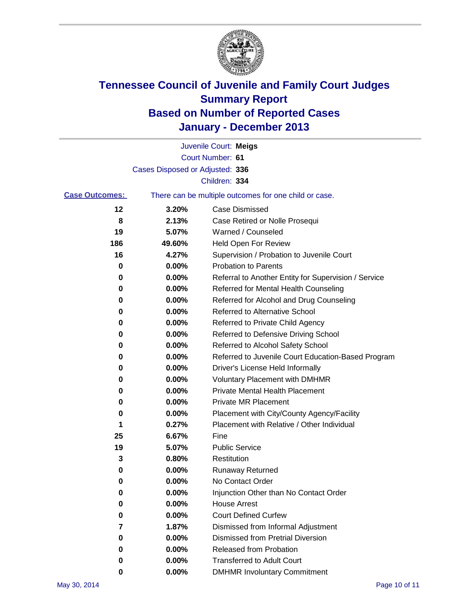

|                       |                                 | Juvenile Court: Meigs                                 |
|-----------------------|---------------------------------|-------------------------------------------------------|
|                       |                                 | Court Number: 61                                      |
|                       | Cases Disposed or Adjusted: 336 |                                                       |
|                       |                                 | Children: 334                                         |
| <b>Case Outcomes:</b> |                                 | There can be multiple outcomes for one child or case. |
| 12                    | 3.20%                           | Case Dismissed                                        |
| 8                     | 2.13%                           | Case Retired or Nolle Prosequi                        |
| 19                    | 5.07%                           | Warned / Counseled                                    |
| 186                   | 49.60%                          | Held Open For Review                                  |
| 16                    | 4.27%                           | Supervision / Probation to Juvenile Court             |
| 0                     | 0.00%                           | <b>Probation to Parents</b>                           |
| 0                     | 0.00%                           | Referral to Another Entity for Supervision / Service  |
| 0                     | 0.00%                           | Referred for Mental Health Counseling                 |
| 0                     | 0.00%                           | Referred for Alcohol and Drug Counseling              |
| 0                     | 0.00%                           | Referred to Alternative School                        |
| 0                     | 0.00%                           | Referred to Private Child Agency                      |
| 0                     | 0.00%                           | Referred to Defensive Driving School                  |
| 0                     | 0.00%                           | Referred to Alcohol Safety School                     |
| 0                     | 0.00%                           | Referred to Juvenile Court Education-Based Program    |
| 0                     | 0.00%                           | Driver's License Held Informally                      |
| 0                     | 0.00%                           | <b>Voluntary Placement with DMHMR</b>                 |
| 0                     | 0.00%                           | <b>Private Mental Health Placement</b>                |
| 0                     | 0.00%                           | <b>Private MR Placement</b>                           |
| 0                     | 0.00%                           | Placement with City/County Agency/Facility            |
| 1                     | 0.27%                           | Placement with Relative / Other Individual            |
| 25                    | 6.67%                           | Fine                                                  |
| 19                    | 5.07%                           | <b>Public Service</b>                                 |
| 3                     | 0.80%                           | Restitution                                           |
| 0                     | 0.00%                           | <b>Runaway Returned</b>                               |
| 0                     | 0.00%                           | No Contact Order                                      |
| 0                     | 0.00%                           | Injunction Other than No Contact Order                |
| 0                     | 0.00%                           | <b>House Arrest</b>                                   |
| 0                     | 0.00%                           | <b>Court Defined Curfew</b>                           |
| 7                     | 1.87%                           | Dismissed from Informal Adjustment                    |
| 0                     | 0.00%                           | Dismissed from Pretrial Diversion                     |
| 0                     | 0.00%                           | Released from Probation                               |
| 0                     | 0.00%                           | <b>Transferred to Adult Court</b>                     |
| 0                     | 0.00%                           | <b>DMHMR Involuntary Commitment</b>                   |